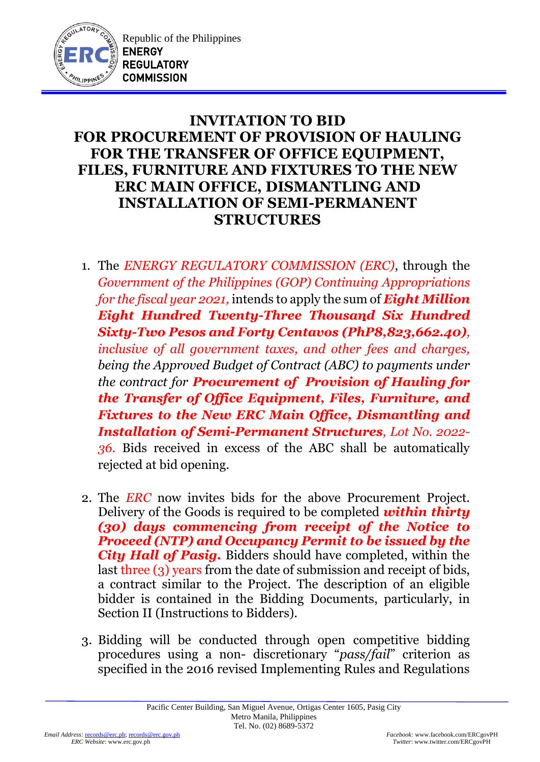

Republic of the Philippines ENERGY **REGULATORY COMMISSION** 

## **INVITATION TO BID FOR PROCUREMENT OF PROVISION OF HAULING FOR THE TRANSFER OF OFFICE EQUIPMENT, FILES, FURNITURE AND FIXTURES TO THE NEW ERC MAIN OFFICE, DISMANTLING AND INSTALLATION OF SEMI-PERMANENT STRUCTURES**

- 1. The *ENERGY REGULATORY COMMISSION (ERC)*, through the *Government of the Philippines (GOP) Continuing Appropriations for the fiscal year 2021,* intends to apply the sum of *Eight Million Eight Hundred Twenty-Three Thousand Six Hundred Sixty-Two Pesos and Forty Centavos (PhP8,823,662.40), inclusive of all government taxes, and other fees and charges, being the Approved Budget of Contract (ABC) to payments under the contract for Procurement of Provision of Hauling for the Transfer of Office Equipment, Files, Furniture, and Fixtures to the New ERC Main Office, Dismantling and Installation of Semi-Permanent Structures, Lot No. 2022- 36.* Bids received in excess of the ABC shall be automatically rejected at bid opening.
- 2. The *ERC* now invites bids for the above Procurement Project. Delivery of the Goods is required to be completed *within thirty (30) days commencing from receipt of the Notice to Proceed (NTP) and Occupancy Permit to be issued by the City Hall of Pasig.* Bidders should have completed, within the last three (3) years from the date of submission and receipt of bids, a contract similar to the Project. The description of an eligible bidder is contained in the Bidding Documents, particularly, in Section II (Instructions to Bidders).
- 3. Bidding will be conducted through open competitive bidding procedures using a non- discretionary "*pass/fail*" criterion as specified in the 2016 revised Implementing Rules and Regulations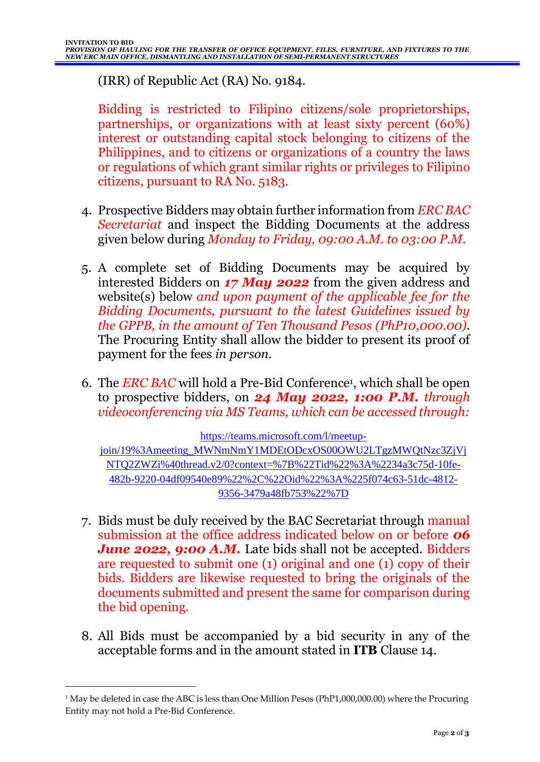(IRR) of Republic Act (RA) No. 9184.

Bidding is restricted to Filipino citizens/sole proprietorships, partnerships, or organizations with at least sixty percent (60%) interest or outstanding capital stock belonging to citizens of the Philippines, and to citizens or organizations of a country the laws or regulations of which grant similar rights or privileges to Filipino citizens, pursuant to RA No. 5183.

- 4. Prospective Bidders may obtain further information from *ERC BAC Secretariat* and inspect the Bidding Documents at the address given below during *Monday to Friday, 09:00 A.M. to 03:00 P.M*.
- 5. A complete set of Bidding Documents may be acquired by interested Bidders on *17 May 2022* from the given address and website(s) below *and upon payment of the applicable fee for the Bidding Documents, pursuant to the latest Guidelines issued by the GPPB, in the amount of Ten Thousand Pesos (PhP10,000.00)*. The Procuring Entity shall allow the bidder to present its proof of payment for the fees *in person.*
- 6. The *ERC BAC* will hold a Pre-Bid Conference<sup>1</sup> , which shall be open to prospective bidders, on *24 May 2022, 1:00 P.M. through videoconferencing via MS Teams, which can be accessed through:*

[https://teams.microsoft.com/l/meetup](https://teams.microsoft.com/l/meetup-join/19%3Ameeting_MWNmNmY1MDEtODcxOS00OWU2LTgzMWQtNzc3ZjVjNTQ2ZWZi%40thread.v2/0?context=%7B%22Tid%22%3A%2234a3c75d-10fe-482b-9220-04df09540e89%22%2C%22Oid%22%3A%225f074c63-51dc-4812-9356-3479a48fb753%22%7D)[join/19%3Ameeting\\_MWNmNmY1MDEtODcxOS00OWU2LTgzMWQtNzc3ZjVj](https://teams.microsoft.com/l/meetup-join/19%3Ameeting_MWNmNmY1MDEtODcxOS00OWU2LTgzMWQtNzc3ZjVjNTQ2ZWZi%40thread.v2/0?context=%7B%22Tid%22%3A%2234a3c75d-10fe-482b-9220-04df09540e89%22%2C%22Oid%22%3A%225f074c63-51dc-4812-9356-3479a48fb753%22%7D) [NTQ2ZWZi%40thread.v2/0?context=%7B%22Tid%22%3A%2234a3c75d-10fe-](https://teams.microsoft.com/l/meetup-join/19%3Ameeting_MWNmNmY1MDEtODcxOS00OWU2LTgzMWQtNzc3ZjVjNTQ2ZWZi%40thread.v2/0?context=%7B%22Tid%22%3A%2234a3c75d-10fe-482b-9220-04df09540e89%22%2C%22Oid%22%3A%225f074c63-51dc-4812-9356-3479a48fb753%22%7D)[482b-9220-04df09540e89%22%2C%22Oid%22%3A%225f074c63-51dc-4812-](https://teams.microsoft.com/l/meetup-join/19%3Ameeting_MWNmNmY1MDEtODcxOS00OWU2LTgzMWQtNzc3ZjVjNTQ2ZWZi%40thread.v2/0?context=%7B%22Tid%22%3A%2234a3c75d-10fe-482b-9220-04df09540e89%22%2C%22Oid%22%3A%225f074c63-51dc-4812-9356-3479a48fb753%22%7D) [9356-3479a48fb753%22%7D](https://teams.microsoft.com/l/meetup-join/19%3Ameeting_MWNmNmY1MDEtODcxOS00OWU2LTgzMWQtNzc3ZjVjNTQ2ZWZi%40thread.v2/0?context=%7B%22Tid%22%3A%2234a3c75d-10fe-482b-9220-04df09540e89%22%2C%22Oid%22%3A%225f074c63-51dc-4812-9356-3479a48fb753%22%7D)

- 7. Bids must be duly received by the BAC Secretariat through manual submission at the office address indicated below on or before *06 June* 2022, 9:00 A.M. Late bids shall not be accepted. Bidders are requested to submit one (1) original and one (1) copy of their bids. Bidders are likewise requested to bring the originals of the documents submitted and present the same for comparison during the bid opening.
- 8. All Bids must be accompanied by a bid security in any of the acceptable forms and in the amount stated in **ITB** Clause 14.

<u>.</u>

<sup>&</sup>lt;sup>1</sup> May be deleted in case the ABC is less than One Million Pesos (PhP1,000,000.00) where the Procuring Entity may not hold a Pre-Bid Conference.